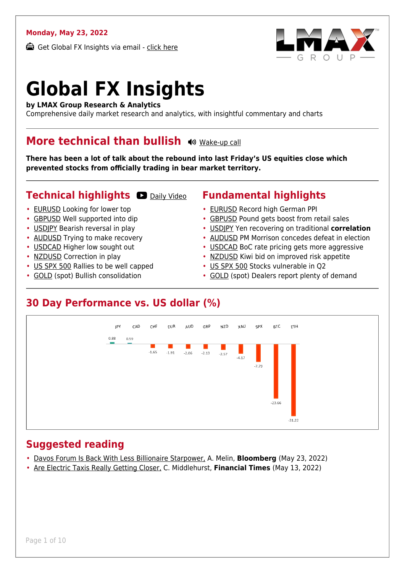### **Monday, May 23, 2022**

Get Global FX Insights via email - [click here](https://www.lmax.com/blog/global-fx-insights/sign-up/?src=gfxipdf)



# **Global FX Insights**

**by LMAX Group Research & Analytics**

Comprehensive daily market research and analytics, with insightful commentary and charts

### **More technical than bullish**  $\omega$  **[Wake-up call](https://www.lmax.com/blog/global-fx-insights/2022/05/23/more-technical-than-bullish/?utm_source=GlobalFXInsights-Newsletter&utm_medium=Email&utm_campaign=GlobalFXInsights&audio=play#wakeup-53615)**

**There has been a lot of talk about the rebound into last Friday's US equities close which prevented stocks from officially trading in bear market territory.**

### **Technical highlights O [Daily Video](https://www.lmax.com/blog/global-fx-insights/2022/05/23/more-technical-than-bullish/?utm_source=GlobalFXInsights-Newsletter&utm_medium=Email&utm_campaign=GlobalFXInsights&popup=watch#charttalk-53615)**

- [EURUSD](#page-1-0) Looking for lower top
- [GBPUSD](#page-2-0) Well supported into dip
- [USDJPY](#page-3-0) Bearish reversal in play
- [AUDUSD](#page-4-0) Trying to make recovery
- [USDCAD](#page-5-0) Higher low sought out
- [NZDUSD](#page-6-0) Correction in play
- [US SPX 500](#page-7-0) Rallies to be well capped
- [GOLD](#page-8-0) (spot) Bullish consolidation

### **Fundamental highlights**

- [EURUSD](#page-1-1) Record high German PPI
- [GBPUSD](#page-2-1) Pound gets boost from retail sales
- [USDJPY](#page-3-1) Yen recovering on traditional **correlation**
- [AUDUSD](#page-4-1) PM Morrison concedes defeat in election
- [USDCAD](#page-5-1) BoC rate pricing gets more aggressive
- [NZDUSD](#page-6-1) Kiwi bid on improved risk appetite
- [US SPX 500](#page-7-1) Stocks vulnerable in Q2
- [GOLD](#page-8-1) (spot) Dealers report plenty of demand

### **30 Day Performance vs. US dollar (%)**



### **Suggested reading**

- [Davos Forum Is Back With Less Billionaire Starpower,](https://www.lmax.com/blog/global-fx-insights/2022/05/23/more-technical-than-bullish/?read=https://www.bloomberg.com/news/articles/2022-05-23/davos-forum-is-back-with-less-billionaire-starpower-and-no-snow?srnd=markets-vp) A. Melin, **Bloomberg** (May 23, 2022)
- [Are Electric Taxis Really Getting Closer,](https://www.lmax.com/blog/global-fx-insights/2022/05/23/more-technical-than-bullish/?read=https://www.ft.com/video/bec536b3-0da2-4ba9-96dd-3e78fa641b74?playlist-name=latest&playlist-offset=0) C. Middlehurst, **Financial Times** (May 13, 2022)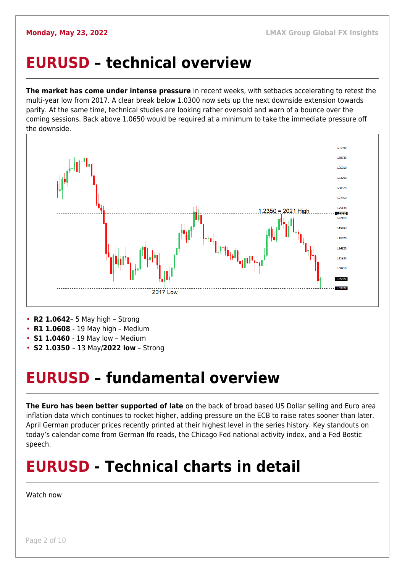### <span id="page-1-0"></span>**EURUSD – technical overview**

**The market has come under intense pressure** in recent weeks, with setbacks accelerating to retest the multi-year low from 2017. A clear break below 1.0300 now sets up the next downside extension towards parity. At the same time, technical studies are looking rather oversold and warn of a bounce over the coming sessions. Back above 1.0650 would be required at a minimum to take the immediate pressure off the downside.



- **R2 1.0642** 5 May high Strong
- **R1 1.0608**  19 May high Medium
- **S1 1.0460**  19 May low Medium
- **S2 1.0350**  13 May/**2022 low** Strong

### <span id="page-1-1"></span>**EURUSD – fundamental overview**

**The Euro has been better supported of late** on the back of broad based US Dollar selling and Euro area inflation data which continues to rocket higher, adding pressure on the ECB to raise rates sooner than later. April German producer prices recently printed at their highest level in the series history. Key standouts on today's calendar come from German Ifo reads, the Chicago Fed national activity index, and a Fed Bostic speech.

## **EURUSD - Technical charts in detail**

[Watch now](https://youtu.be/KIAuQ9hDSNU)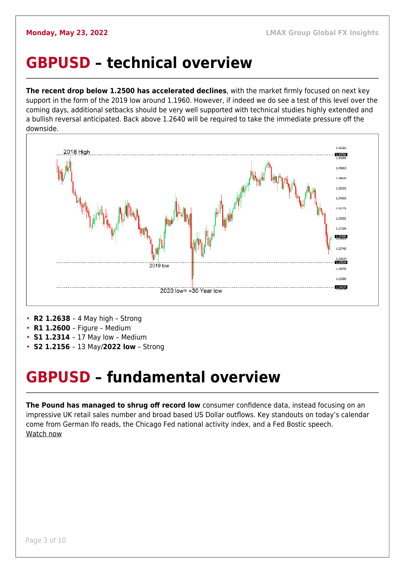### <span id="page-2-0"></span>**GBPUSD – technical overview**

**The recent drop below 1.2500 has accelerated declines**, with the market firmly focused on next key support in the form of the 2019 low around 1.1960. However, if indeed we do see a test of this level over the coming days, additional setbacks should be very well supported with technical studies highly extended and a bullish reversal anticipated. Back above 1.2640 will be required to take the immediate pressure off the downside.



- **R2 1.2638**  4 May high Strong
- **R1 1.2600**  Figure Medium
- **S1 1.2314**  17 May low Medium
- **S2 1.2156**  13 May/**2022 low** Strong

### <span id="page-2-1"></span>**GBPUSD – fundamental overview**

**The Pound has managed to shrug off record low** consumer confidence data, instead focusing on an impressive UK retail sales number and broad based US Dollar outflows. Key standouts on today's calendar come from German Ifo reads, the Chicago Fed national activity index, and a Fed Bostic speech. [Watch now](https://youtu.be/Lpkiv0nd_5E)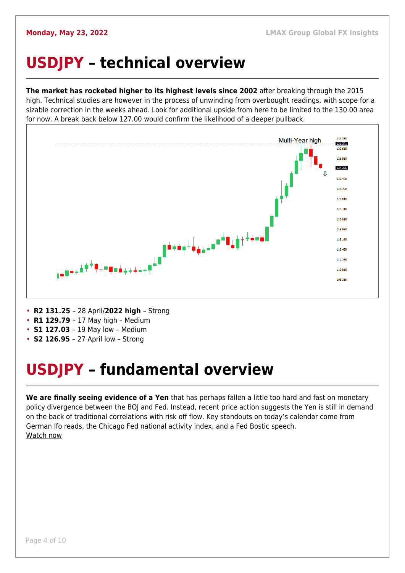## <span id="page-3-0"></span>**USDJPY – technical overview**

**The market has rocketed higher to its highest levels since 2002** after breaking through the 2015 high. Technical studies are however in the process of unwinding from overbought readings, with scope for a sizable correction in the weeks ahead. Look for additional upside from here to be limited to the 130.00 area for now. A break back below 127.00 would confirm the likelihood of a deeper pullback.



- **R2 131.25**  28 April/**2022 high**  Strong
- **R1 129.79**  17 May high Medium
- **S1 127.03**  19 May low Medium
- **S2 126.95**  27 April low Strong

## <span id="page-3-1"></span>**USDJPY – fundamental overview**

**We are finally seeing evidence of a Yen** that has perhaps fallen a little too hard and fast on monetary policy divergence between the BOJ and Fed. Instead, recent price action suggests the Yen is still in demand on the back of traditional correlations with risk off flow. Key standouts on today's calendar come from German Ifo reads, the Chicago Fed national activity index, and a Fed Bostic speech. [Watch now](https://youtu.be/7RmvBqNOdgc)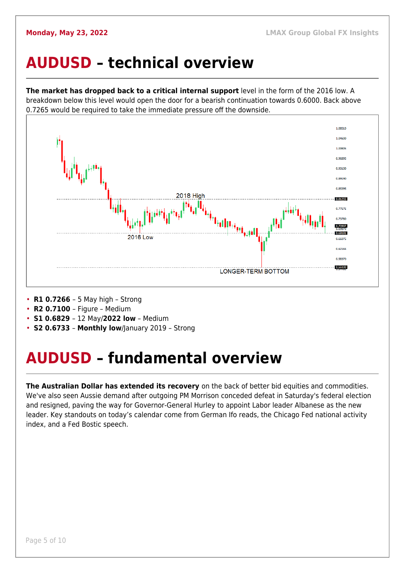### <span id="page-4-0"></span>**AUDUSD – technical overview**

**The market has dropped back to a critical internal support** level in the form of the 2016 low. A breakdown below this level would open the door for a bearish continuation towards 0.6000. Back above 0.7265 would be required to take the immediate pressure off the downside.



- **R1 0.7266**  5 May high Strong
- **R2 0.7100**  Figure Medium
- **S1 0.6829**  12 May/**2022 low** Medium
- **S2 0.6733 Monthly low**/January 2019 Strong

## <span id="page-4-1"></span>**AUDUSD – fundamental overview**

**The Australian Dollar has extended its recovery** on the back of better bid equities and commodities. We've also seen Aussie demand after outgoing PM Morrison conceded defeat in Saturday's federal election and resigned, paving the way for Governor-General Hurley to appoint Labor leader Albanese as the new leader. Key standouts on today's calendar come from German Ifo reads, the Chicago Fed national activity index, and a Fed Bostic speech.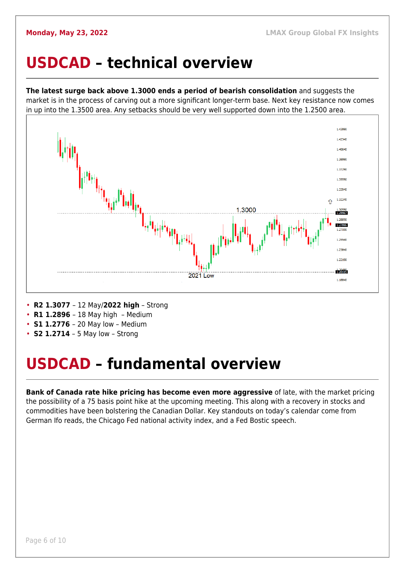### <span id="page-5-0"></span>**USDCAD – technical overview**

**The latest surge back above 1.3000 ends a period of bearish consolidation** and suggests the market is in the process of carving out a more significant longer-term base. Next key resistance now comes in up into the 1.3500 area. Any setbacks should be very well supported down into the 1.2500 area.



- **R2 1.3077**  12 May/**2022 high** Strong
- **R1 1.2896**  18 May high Medium
- **S1 1.2776**  20 May low Medium
- **S2 1.2714** 5 May low Strong

### <span id="page-5-1"></span>**USDCAD – fundamental overview**

**Bank of Canada rate hike pricing has become even more aggressive** of late, with the market pricing the possibility of a 75 basis point hike at the upcoming meeting. This along with a recovery in stocks and commodities have been bolstering the Canadian Dollar. Key standouts on today's calendar come from German Ifo reads, the Chicago Fed national activity index, and a Fed Bostic speech.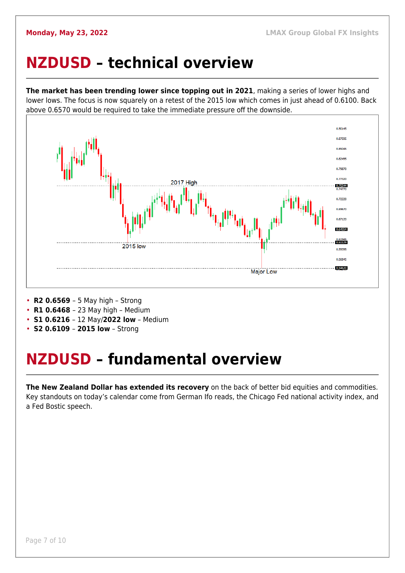### <span id="page-6-0"></span>**NZDUSD – technical overview**

**The market has been trending lower since topping out in 2021**, making a series of lower highs and lower lows. The focus is now squarely on a retest of the 2015 low which comes in just ahead of 0.6100. Back above 0.6570 would be required to take the immediate pressure off the downside.



- **R2 0.6569**  5 May high Strong
- **R1 0.6468**  23 May high Medium
- **S1 0.6216**  12 May/**2022 low** Medium
- **S2 0.6109 2015 low** Strong

## <span id="page-6-1"></span>**NZDUSD – fundamental overview**

**The New Zealand Dollar has extended its recovery** on the back of better bid equities and commodities. Key standouts on today's calendar come from German Ifo reads, the Chicago Fed national activity index, and a Fed Bostic speech.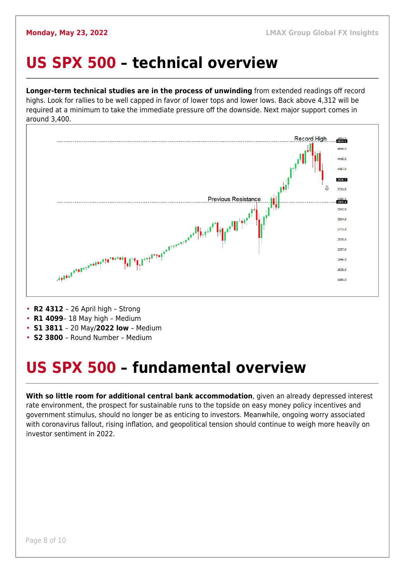### <span id="page-7-0"></span>**US SPX 500 – technical overview**

**Longer-term technical studies are in the process of unwinding** from extended readings off record highs. Look for rallies to be well capped in favor of lower tops and lower lows. Back above 4,312 will be required at a minimum to take the immediate pressure off the downside. Next major support comes in around 3,400.



- **R2 4312**  26 April high Strong
- **R1 4099** 18 May high Medium
- **S1 3811**  20 May/**2022 low** Medium
- **S2 3800**  Round Number Medium

## <span id="page-7-1"></span>**US SPX 500 – fundamental overview**

**With so little room for additional central bank accommodation**, given an already depressed interest rate environment, the prospect for sustainable runs to the topside on easy money policy incentives and government stimulus, should no longer be as enticing to investors. Meanwhile, ongoing worry associated with coronavirus fallout, rising inflation, and geopolitical tension should continue to weigh more heavily on investor sentiment in 2022.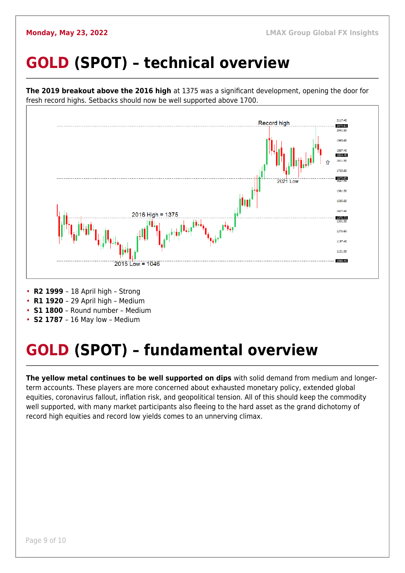## <span id="page-8-0"></span>**GOLD (SPOT) – technical overview**



- **R1 1920**  29 April high Medium
- 
- **S1 1800**  Round number Medium
- **S2 1787**  16 May low Medium

## <span id="page-8-1"></span>**GOLD (SPOT) – fundamental overview**

**The yellow metal continues to be well supported on dips** with solid demand from medium and longerterm accounts. These players are more concerned about exhausted monetary policy, extended global equities, coronavirus fallout, inflation risk, and geopolitical tension. All of this should keep the commodity well supported, with many market participants also fleeing to the hard asset as the grand dichotomy of record high equities and record low yields comes to an unnerving climax.